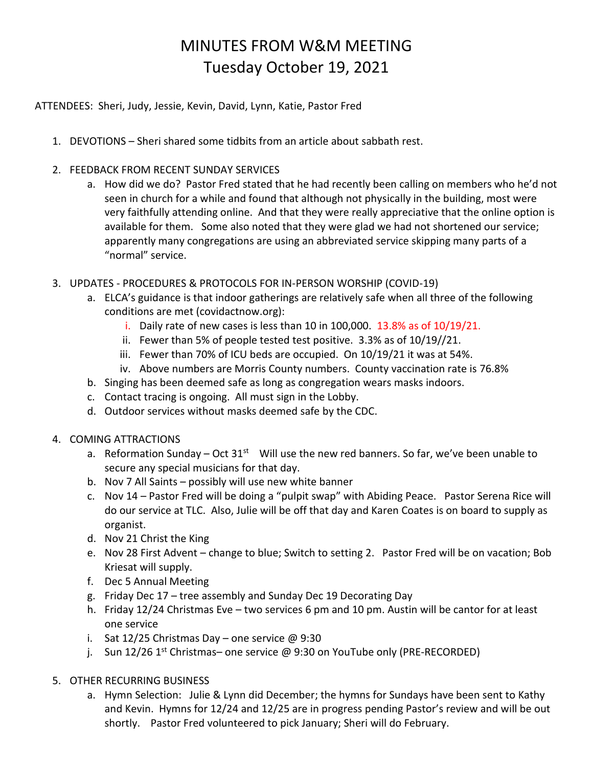## MINUTES FROM W&M MEETING Tuesday October 19, 2021

ATTENDEES: Sheri, Judy, Jessie, Kevin, David, Lynn, Katie, Pastor Fred

- 1. DEVOTIONS Sheri shared some tidbits from an article about sabbath rest.
- 2. FEEDBACK FROM RECENT SUNDAY SERVICES
	- a. How did we do? Pastor Fred stated that he had recently been calling on members who he'd not seen in church for a while and found that although not physically in the building, most were very faithfully attending online. And that they were really appreciative that the online option is available for them. Some also noted that they were glad we had not shortened our service; apparently many congregations are using an abbreviated service skipping many parts of a "normal" service.
- 3. UPDATES PROCEDURES & PROTOCOLS FOR IN-PERSON WORSHIP (COVID-19)
	- a. ELCA's guidance is that indoor gatherings are relatively safe when all three of the following conditions are met (covidactnow.org):
		- i. Daily rate of new cases is less than 10 in 100,000.  $13.8\%$  as of  $10/19/21$ .
		- ii. Fewer than 5% of people tested test positive. 3.3% as of 10/19//21.
		- iii. Fewer than 70% of ICU beds are occupied. On 10/19/21 it was at 54%.
		- iv. Above numbers are Morris County numbers. County vaccination rate is 76.8%
	- b. Singing has been deemed safe as long as congregation wears masks indoors.
	- c. Contact tracing is ongoing. All must sign in the Lobby.
	- d. Outdoor services without masks deemed safe by the CDC.
- 4. COMING ATTRACTIONS
	- a. Reformation Sunday Oct 31<sup>st</sup> Will use the new red banners. So far, we've been unable to secure any special musicians for that day.
	- b. Nov 7 All Saints possibly will use new white banner
	- c. Nov 14 Pastor Fred will be doing a "pulpit swap" with Abiding Peace. Pastor Serena Rice will do our service at TLC. Also, Julie will be off that day and Karen Coates is on board to supply as organist.
	- d. Nov 21 Christ the King
	- e. Nov 28 First Advent change to blue; Switch to setting 2. Pastor Fred will be on vacation; Bob Kriesat will supply.
	- f. Dec 5 Annual Meeting
	- g. Friday Dec 17 tree assembly and Sunday Dec 19 Decorating Day
	- h. Friday 12/24 Christmas Eve two services 6 pm and 10 pm. Austin will be cantor for at least one service
	- i. Sat 12/25 Christmas Day one service  $\omega$  9:30
	- j. Sun 12/26 1<sup>st</sup> Christmas- one service @ 9:30 on YouTube only (PRE-RECORDED)
- 5. OTHER RECURRING BUSINESS
	- a. Hymn Selection: Julie & Lynn did December; the hymns for Sundays have been sent to Kathy and Kevin. Hymns for 12/24 and 12/25 are in progress pending Pastor's review and will be out shortly. Pastor Fred volunteered to pick January; Sheri will do February.